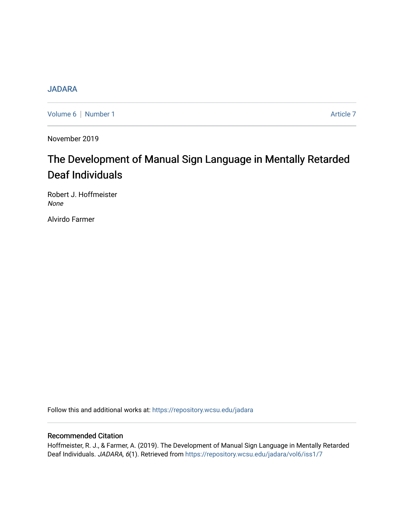## **[JADARA](https://repository.wcsu.edu/jadara)**

[Volume 6](https://repository.wcsu.edu/jadara/vol6) | [Number 1](https://repository.wcsu.edu/jadara/vol6/iss1) Article 7

November 2019

# The Development of Manual Sign Language in Mentally Retarded Deaf Individuals

Robert J. Hoffmeister None

Alvirdo Farmer

Follow this and additional works at: [https://repository.wcsu.edu/jadara](https://repository.wcsu.edu/jadara?utm_source=repository.wcsu.edu%2Fjadara%2Fvol6%2Fiss1%2F7&utm_medium=PDF&utm_campaign=PDFCoverPages)

### Recommended Citation

Hoffmeister, R. J., & Farmer, A. (2019). The Development of Manual Sign Language in Mentally Retarded Deaf Individuals. JADARA, 6(1). Retrieved from [https://repository.wcsu.edu/jadara/vol6/iss1/7](https://repository.wcsu.edu/jadara/vol6/iss1/7?utm_source=repository.wcsu.edu%2Fjadara%2Fvol6%2Fiss1%2F7&utm_medium=PDF&utm_campaign=PDFCoverPages)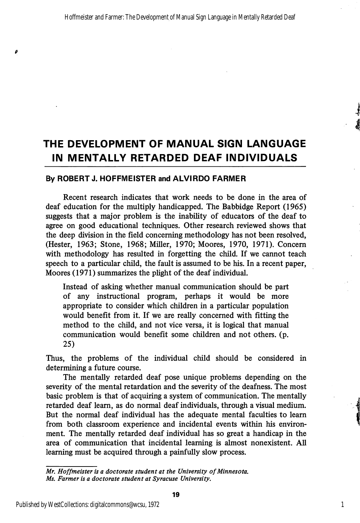# THE DEVELOPMENT OF MANUAL SIGN LANGUAGE IN MENTALLY RETARDED DEAF INDIVIDUALS

#### By ROBERT J. HOFFMEISTER and ALVIRDO FARMER

ø

Recent research indicates that work needs to be done in the area of deaf education for the multiply handicapped. The Babbidge Report (1965) suggests that a major problem is the inability of educators of the deaf to agree on good educational techniques. Other research reviewed shows that the deep division in the field concerning methodology has not been resolved, (Hester, 1963; Stone, 1968; Miller, 1970; Moores, 1970, 1971). Concern with methodology has resulted in forgetting the child. If we cannot teach speech to a particular child, the fault is assumed to be his. In a recent paper, Moores (1971) summarizes the plight of the deaf individual.

Instead of asking whether manual communication should be part of any instructional program, perhaps it would be more appropriate to consider which children in a particular population would benefit from it. If we are really concerned with fitting the method to the child, and not vice versa, it is logical that manual communication would benefit some children and not others, (p. 25)

Thus, the problems of the individual child should be considered in determining a future course.

The mentally retarded deaf pose unique problems depending on the severity of the mental retardation and the severity of the deafness. The most basic problem is that of acquiring a system of communication. The mentally retarded deaf leam, as do normal deaf individuals, through a visual medium. But the normal deaf individual has the adequate mental faculties to leam from both classroom experience and incidental events within his environ ment. The mentally retarded deaf individual has so great a handicap in the area of communication that incidental learning is almost nonexistent. All learning must be acquired through a painfully slow process.

Mr. Hoffmeister is a doctorate student at the University of Minnesota. Ms. Farmer is a doctorate student at Syracuse University.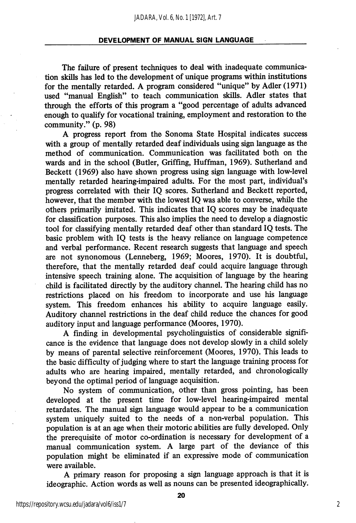The failure of present techniques to deal with inadequate communication skills has led to the development of unique programs within institutions for the mentally retarded. A program considered "unique" by Adler (1971) used "manual English" to teach communication skills. Adler states that through the efforts of this program a "good percentage of adults advanced enough to qualify for vocational training, employment and restoration to the community." (p. 98)

A progress report from the Sonoma State Hospital indicates success with a group of mentally retarded deaf individuals using sign language as the method of communication. Communication was facilitated both on the wards and in the school (Butler, Griffing, Huffman, 1969). Sutherland and Beckett (1969) also have shown progress using sign language with low-level mentally retarded hearing-impaired adults. For the most part, individual's progress correlated with their IQ scores. Sutherland and Beckett reported, however, that the member with the lowest IQ was able to converse, while the others primarily imitated. This indicates that IQ scores may be inadequate for classification purposes. This also implies the need to develop a diagnostic tool for classifying mentally retarded deaf other than standard IQ tests. The basic problem with IQ tests is the heavy reliance on language competence and verbal performance. Recent research suggests that language and speech are not synonomous (Lenneberg, 1969; Moores, 1970). It is doubtful, therefore, that the mentally retarded deaf could acquire language through intensive speech training alone. The acquisition of language by the hearing child is facilitated directly by the auditory channel. The hearing child has no restrictions placed on his freedom to incorporate and use his language system. This freedom enhances his ability to acquire language easily. Auditory channel restrictions in the deaf child reduce the chances for good auditory input and language performance (Moores, 1970).

A finding in developmental psycholinguistics of considerable signifi cance is the evidence that language does not develop slowly in a child solely by means of parental selective reinforcement (Moores, 1970). This leads to the basic difficulty of judging where to start the language training process for adults who are hearing impaired, mentally retarded, and chronologically beyond the optimal period of language acquisition.

No system of communication, other than gross pointing, has been developed at the present time for low-level hearing-impaired mental retardates. The manual sign language would appear to be a communication system uniquely suited to the needs of a non-verbal population. This population is at an age when their motoric abilities are fully developed. Only the prerequisite of motor co-ordination is necessary for development of a manual communication system. A large part of the deviance of this population might be eliminated if an expressive mode of communication were available.

A primary reason for proposing a sign language approach is that it is ideographic. Action words as well as nouns can be presented ideographically.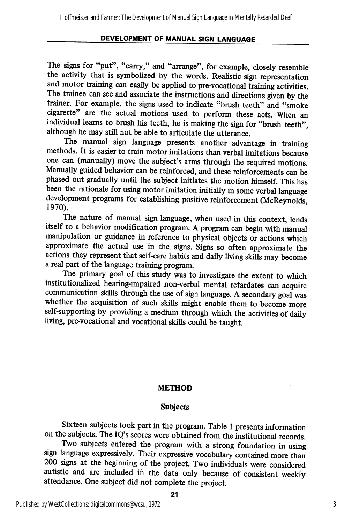The signs for "put", "carry," and "arrange", for example, closely resemble the activity that is symbolized by the words. Realistic sign representation and motor training can easily be applied to pre-vocational training activities. The trainee can see and associate the instructions and directions given by the trainer. For example, the signs used to indicate "brush teeth" and "smoke cigarette" are the actual motions used to perform these acts. When an individual learns to brush his teeth, he is making the sign for "brush teeth", although he may still not be able to articulate the utterance.

The manual sign language presents another advantage in training methods. It is easier to train motor imitations than verbal imitations because one can (manually) move the subject's arms through the required motions. Manually guided behavior can be reinforced, and these reinforcements can be phased out gradually until the subject initiates the motion himself. This has been the rationale for using motor imitation initially in some verbal language development programs for establishing positive reinforcement (McReynolds, 1970).

The nature of manual sign language, when used in this context, lends itself to a behavior modification program. A program can begin with manual manipulation or guidance in reference to physical objects or actions which approximate the actual use in the signs. Signs so often approximate the actions they represent that self-care habits and daily living skills may become a real part of the language training program.

The primary goal of this study was to investigate the extent to which institutionalized heanng-impaired non-verbal mental retardates can acquire communication skills through the use of sign language. A secondary goal was whether the acquisition of such skills might enable them to become more self-supporting by providing a medium through which the activities of daily living, pre-vocational and vocational skills could be taught.

#### METHOD

#### Subjects

Sixteen subjects took part in the program. Table 1 presents information on the subjects. The IQ's scores were obtained from the institutional records.

Two subjects entered the program with a strong foundation in using sign language expressively. Their expressive vocabulary contained more than 200 signs at the beginning of the project. Two individuals were considered autistic and are included in the data only because of consistent weekly attendance. One subject did not complete the project.

21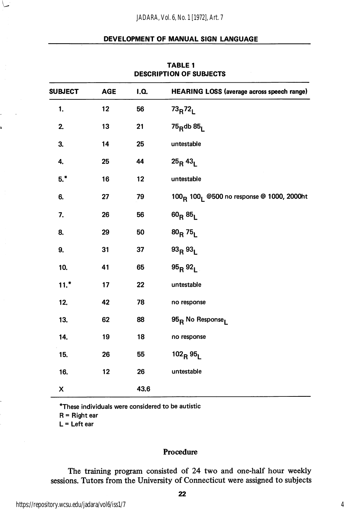| <b>SUBJECT</b><br><b>AGE</b><br>I.Q. |    |      |                                                                   |  |  |
|--------------------------------------|----|------|-------------------------------------------------------------------|--|--|
|                                      |    |      | HEARING LOSS (average across speech range)                        |  |  |
| 1.                                   | 12 | 56   | $73_R72_L$                                                        |  |  |
| 2.                                   | 13 | 21   | $75$ <sub>R</sub> db $851$                                        |  |  |
| 3.                                   | 14 | 25   | untestable                                                        |  |  |
| 4.                                   | 25 | 44   | $25_R 43_L$                                                       |  |  |
| $5.*$                                | 16 | 12   | untestable                                                        |  |  |
| 6.                                   | 27 | 79   | 100 <sub>R</sub> 100 <sub>1</sub> @500 no response @ 1000, 2000ht |  |  |
| 7.                                   | 26 | 56   | $60_R 85_L$                                                       |  |  |
| 8.                                   | 29 | 50   | $80_R$ 75 <sub>L</sub>                                            |  |  |
| 9.                                   | 31 | 37   | 93R93L                                                            |  |  |
| 10.                                  | 41 | 65   | $95_B 92_1$                                                       |  |  |
| $11.*$                               | 17 | 22   | untestable                                                        |  |  |
| 12.                                  | 42 | 78   | no response                                                       |  |  |
| 13.                                  | 62 | 88   | 95 <sub>R</sub> No Response <sub>l</sub>                          |  |  |
| 14.                                  | 19 | 18   | no response                                                       |  |  |
| 15.                                  | 26 | 55   | $102_R95_I$                                                       |  |  |
| 16.                                  | 12 | 26   | untestable                                                        |  |  |
| X                                    |    | 43.6 |                                                                   |  |  |

#### TABLE 1 DESCRIPTION OF SUBJECTS

\*These individuals were considered to be autistic

R = Right ear

 $L = Let$ t ear

#### Procedure

The training program consisted of 24 two and one-half hour weekly sessions. Tutors from the University of Connecticut were assigned to subjects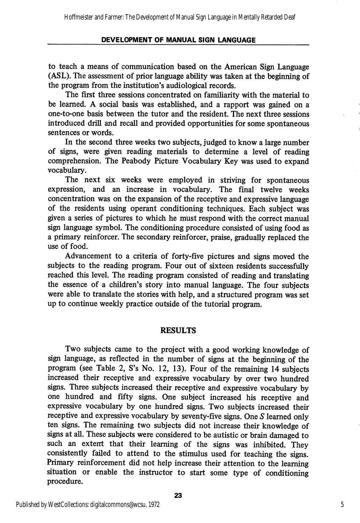to teach a means of communication based on the American Sign Language (ASL). The assessment of prior language ability was taken at the beginning of the program from the institution's audiological records.

The first three sessions concentrated on familiarity with the material to be learned. A social basis was established, and a rapport was gained on a one-to-one basis between the tutor and the resident. The next three sessions introduced drill and recall and provided opportunities for some spontaneous sentences or words.

In the second three weeks two subjects, judged to know a large number of signs, were given reading materials to determine a level of reading comprehension. The Peabody Picture Vocabulary Key was used to expand vocabulary.

The next six weeks were employed in striving for spontaneous expression, and an increase in vocabulary. The final twelve weeks concentration was on the expansion of the receptive and expressive language of the residents using operant conditioning techniques. Each subject was given a series of pictures to which he must respond with the correct manual sign language symbol. The conditioning procedure consisted of using food as a primary reinforcer. The secondary reinforcer, praise, gradually replaced the use of food.

Advancement to a criteria of forty-five pictures and signs moved the subjects to the reading program. Four out of sixteen residents successfully reached this level. The reading program consisted of reading and translating the essence of a children's story into manual language. The four subjects were able to translate the stories with help, and a structured program was set up to continue weekly practice outside of the tutorial program.

#### RESULTS

Two subjects came to the project with a good working knowledge of sign language, as reflected in the number of signs at the beginning of the program (see Table 2, S's No. 12, 13). Four of the remaining 14 subjects increased their receptive and expressive vocabulary by over two hundred signs. Three subjects increased their receptive and expressive vocabulary by one himdred and fifty signs. One subject increased his receptive and expressive vocabulary by one hundred signs. Two subjects increased their receptive and expressive vocabulary by seventy-five signs. One S learned only ten signs. The remaining two subjects did not increase their knowledge of signs at all. These subjects were considered to be autistic or brain damaged to such an extent that their learning of the signs was inhibited. They consistently failed to attend to the stimulus used for teaching the signs. Primary reinforcement did not help increase their attention to the learning situation or enable the instructor to start some type of conditioning procedure.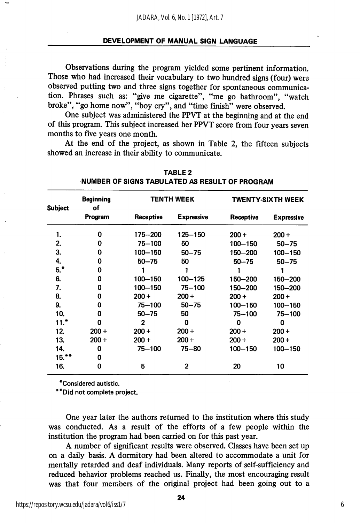Observations during the program yielded some pertinent information. Those who had increased their vocabulary to two hundred signs (four) were observed putting two and three signs together for spontaneous communica tion. Phrases such as: "give me cigarette", "me go bathroom", "watch broke", "go home now", "boy cry", and "time finish" were observed.

One subject was administered the PPVT at the beginning and at the end of this program. This subject increased her PPVT score from four years seven months to five years one month.

At the end of the project, as shown in Table 2, the fifteen subjects showed an increase in their abihty to communicate.

| <b>Subject</b> | <b>Beginning</b><br>of<br>Program | <b>TENTH WEEK</b> |                   | TWENTY-SIXTH WEEK |                   |
|----------------|-----------------------------------|-------------------|-------------------|-------------------|-------------------|
|                |                                   | Receptive         | <b>Expressive</b> | Receptive         | <b>Expressive</b> |
| 1.             | 0                                 | 175-200           | $125 - 150$       | $200 +$           | $200 +$           |
| 2.             | O                                 | $75 - 100$        | 50                | $100 - 150$       | $50 - 75$         |
| 3.             | Ω                                 | 100-150           | $50 - 75$         | 150-200           | $100 - 150$       |
| 4.             | 0                                 | $50 - 75$         | 50                | $50 - 75$         | $50 - 75$         |
| $5.*$          | 0                                 |                   | 1                 |                   |                   |
| 6.             | 0                                 | 100-150           | 100-125           | 150-200           | 150-200           |
| 7.             | 0                                 | 100-150           | $75 - 100$        | 150-200           | 150-200           |
| 8.             | 0                                 | $200 +$           | $200 +$           | 200+              | $200 +$           |
| 9.             | 0                                 | $75 - 100$        | $50 - 75$         | 100-150           | $100 - 150$       |
| 10.            | 0                                 | $50 - 75$         | 50                | $75 - 100$        | 75-100            |
| $11.*$         | 0                                 | $\mathbf{2}$      | 0                 | 0                 | 0                 |
| 12.            | $200 +$                           | $200 +$           | $200 +$           | $200 +$           | $200 +$           |
| 13.            | $200 +$                           | $200 +$           | $200 +$           | $200 +$           | $200 +$           |
| 14.            | 0                                 | 75-100            | $75 - 80$         | $100 - 150$       | 100-150           |
| $15.**$        | 0                                 |                   |                   |                   |                   |
| 16.            | 0                                 | 5                 | 2                 | 20                | 10                |

TABLE 2 NUMBER OF SIGNS TABULATED AS RESULT OF PROGRAM

'Considered autistic.

"Did not complete project.

One year later the authors returned to the institution where this study was conducted. As a result of the efforts of a few people within the institution the program had been carried on for this past year.

A number of significant results were observed. Classes have been set up on a daily basis. A dormitory had been altered to accommodate a unit for mentally retarded and deaf individuals. Many reports of self-sufficiency and reduced behavior problems reached us. Finally, the most encouraging result was that four members of the original project had been going out to a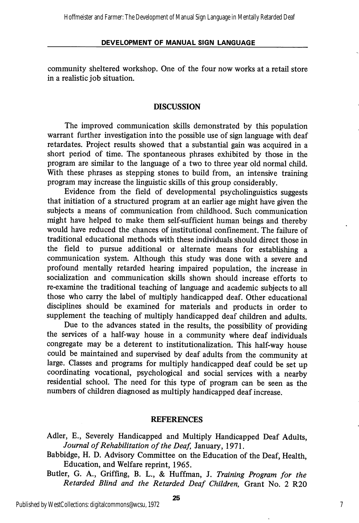community sheltered workshop. One of the four now works at a retail store in a realistic job situation.

#### DISCUSSION

The improved communication skills demonstrated by this population warrant further investigation into the possible use of sign language with deaf retardates. Project results showed that a substantial gain was acquired in a short period of time. The spontaneous phrases exhibited by those in the program are similar to the language of a two to three year old normal child. With these phrases as stepping stones to build from, an intensive training program may increase the linguistic skills of this group considerably.

Evidence from the field of developmental psycholinguistics suggests that initiation of a structured program at an earlier age might have given the subjects a means of communication from childhood. Such communication might have helped to make them self-sufficient human beings and thereby would have reduced the chances of institutional confinement. The failure of traditional educational methods with these individuals should direct those in the field to pursue additional or alternate means for establishing a communication system. Although this study was done with a severe and profound mentally retarded hearing impaired population, the increase in socialization and communication skills shown should increase efforts to re-examine the traditional teaching of language and academic subjects to all those who carry the label of multiply handicapped deaf. Other educational disciplines should be examined for materials and products in order to supplement the teaching of multiply handicapped deaf children and adults.

Due to the advances stated in the results, the possibility of providing the services of a half-way house in a community where deaf individuals congregate may be a deterent to institutionalization. This half-way house could be maintained and supervised by deaf adults from the community at large. Classes and programs for multiply handicapped deaf could be set up coordinating vocational, psychological and social services with a nearby residential school. The need for this type of program can be seen as the numbers of children diagnosed as multiply handicapped deaf increase.

#### REFERENCES

- Adler, E., Severely Handicapped and Multiply Handicapped Deaf Adults, Journal of Rehabilitation of the Deaf, January, 1971.
- Babbidge, H. D. Advisory Committee on the Education of the Deaf, Health, Education, and Welfare reprint, 1965.
- Butler, G. A., Griffing, B. L., & Huffman, J. Training Program for the Retarded Blind and the Retarded Deaf Children, Grant No. 2 R20